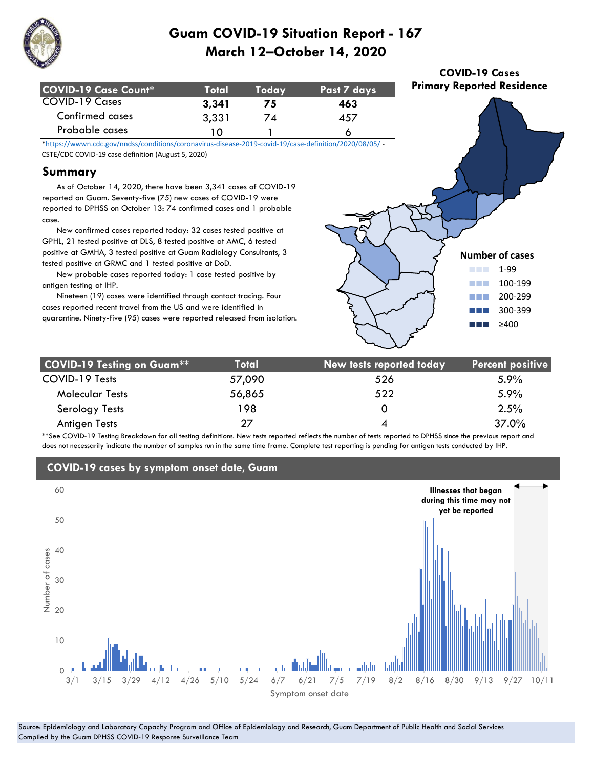

| COVID-19 Case Count*   | Total | <b>Todav</b> ' | Past 7 days |
|------------------------|-------|----------------|-------------|
| COVID-19 Cases         | 3.341 | 75             | 463         |
| <b>Confirmed cases</b> | 3,331 | 74             | 457         |
| Probable cases         | ח ו   |                |             |

\*https://wwwn.cdc.gov/nndss/conditions/coronavirus-disease-2019-covid-19/case-definition/2020/08/05/ - CSTE/CDC COVID-19 case definition (August 5, 2020)

### **Summary**

 As of October 14, 2020, there have been 3,341 cases of COVID-19 reported on Guam. Seventy-five (75) new cases of COVID-19 were reported to DPHSS on October 13: 74 confirmed cases and 1 probable case.

 New confirmed cases reported today: 32 cases tested positive at GPHL, 21 tested positive at DLS, 8 tested positive at AMC, 6 tested positive at GMHA, 3 tested positive at Guam Radiology Consultants, 3 tested positive at GRMC and 1 tested positive at DoD.

 New probable cases reported today: 1 case tested positive by antigen testing at IHP.

 Nineteen (19) cases were identified through contact tracing. Four cases reported recent travel from the US and were identified in quarantine. Ninety-five (95) cases were reported released from isolation.



**COVID-19 Cases Primary Reported Residence**

| <b>COVID-19 Testing on Guam**</b> | <b>Total</b> | New tests reported today | <b>Percent positive</b> |
|-----------------------------------|--------------|--------------------------|-------------------------|
| COVID-19 Tests                    | 57,090       | 526                      | $5.9\%$                 |
| <b>Molecular Tests</b>            | 56,865       | 522                      | $5.9\%$                 |
| Serology Tests                    | 198          |                          | 2.5%                    |
| Antigen Tests                     | 27           | 4                        | 37.0%                   |

\*\*See COVID-19 Testing Breakdown for all testing definitions. New tests reported reflects the number of tests reported to DPHSS since the previous report and does not necessarily indicate the number of samples run in the same time frame. Complete test reporting is pending for antigen tests conducted by IHP.



#### Source: Epidemiology and Laboratory Capacity Program and Office of Epidemiology and Research, Guam Department of Public Health and Social Services Compiled by the Guam DPHSS COVID-19 Response Surveillance Team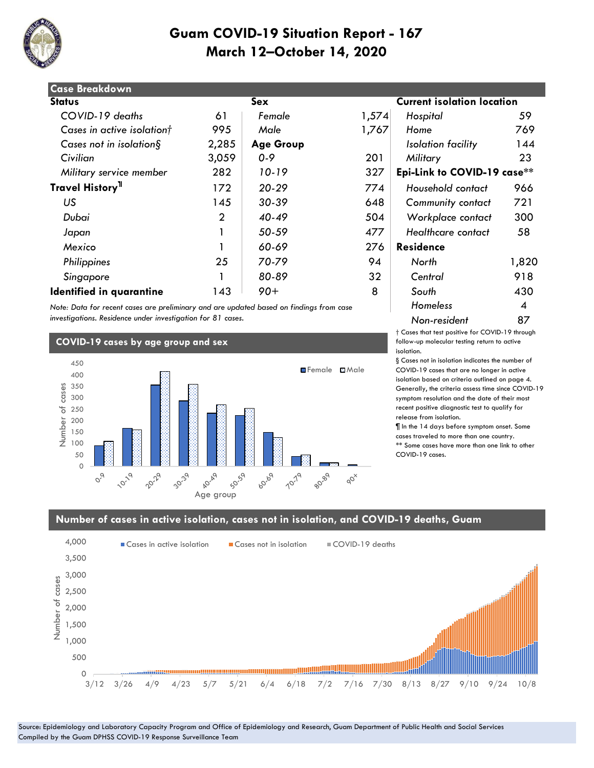

| <b>Case Breakdown</b>           |                |                  |       |                                   |       |
|---------------------------------|----------------|------------------|-------|-----------------------------------|-------|
| <b>Status</b>                   |                | Sex              |       | <b>Current isolation location</b> |       |
| COVID-19 deaths                 | 61             | Female           | 1,574 | Hospital                          | 59    |
| Cases in active isolationt      | 995            | Male             | 1,767 | Home                              | 769   |
| Cases not in isolation $\S$     | 2,285          | <b>Age Group</b> |       | Isolation facility                | 144   |
| Civilian                        | 3,059          | $0 - 9$          | 201   | Military                          | 23    |
| Military service member         | 282            | 10-19            | 327   | Epi-Link to COVID-19 case**       |       |
| Travel History <sup>11</sup>    | 172            | $20 - 29$        | 774   | Household contact                 | 966   |
| US                              | 145            | $30 - 39$        | 648   | <b>Community contact</b>          | 721   |
| Dubai                           | $\overline{2}$ | $40 - 49$        | 504   | Workplace contact                 | 300   |
| Japan                           |                | 50-59            | 477   | Healthcare contact                | 58    |
| Mexico                          |                | 60-69            | 276   | <b>Residence</b>                  |       |
| Philippines                     | 25             | 70-79            | 94    | North                             | 1,820 |
| Singapore                       |                | 80-89            | 32    | Central                           | 918   |
| <b>Identified in quarantine</b> | 143            | $90+$            | 8     | South                             | 430   |

*Note: Data for recent cases are preliminary and are updated based on findings from case investigations. Residence under investigation for 81 cases.*

### **COVID-19 cases by age group and sex**



#### **isolation location**

| Hospital                    | 59    |
|-----------------------------|-------|
| Home                        | 769   |
| Isolation facility          | 144   |
| Military                    | 23    |
| Epi-Link to COVID-19 case** |       |
| Household contact           | 966   |
| Community contact           | 721   |
| Workplace contact           | 300   |
| Healthcare contact          | 58    |
| Residence                   |       |
| North                       | 1,820 |
| Central                     | 918   |
| South                       | 430   |
| Homeless                    | 4     |
| Non-resident                | 87    |

† Cases that test positive for COVID-19 through follow-up molecular testing return to active isolation.

§ Cases not in isolation indicates the number of COVID-19 cases that are no longer in active isolation based on criteria outlined on page 4. Generally, the criteria assess time since COVID-19 symptom resolution and the date of their most recent positive diagnostic test to qualify for release from isolation.

¶ In the 14 days before symptom onset. Some cases traveled to more than one country. \*\* Some cases have more than one link to other COVID-19 cases.

#### **Number of cases in active isolation, cases not in isolation, and COVID-19 deaths, Guam**

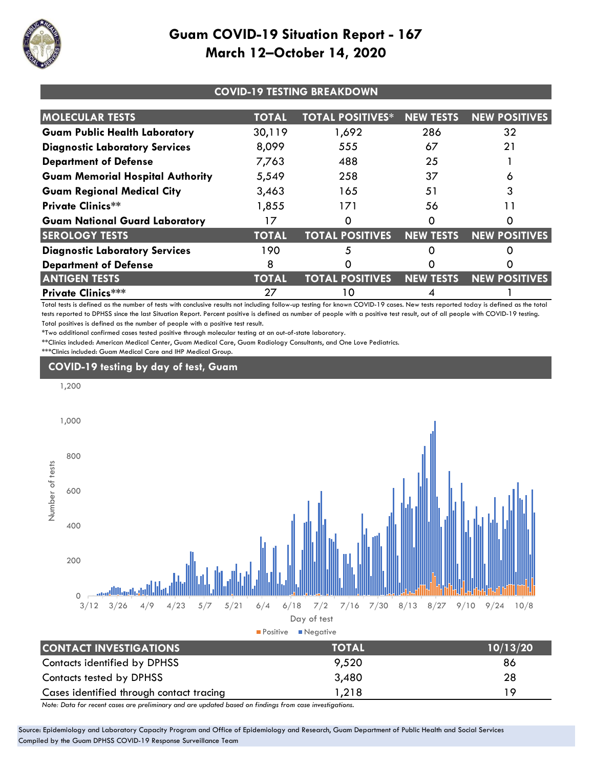

| <b>COVID-19 TESTING BREAKDOWN</b>       |              |                         |                  |                      |
|-----------------------------------------|--------------|-------------------------|------------------|----------------------|
| <b>MOLECULAR TESTS</b>                  | <b>TOTAL</b> | <b>TOTAL POSITIVES*</b> | <b>NEW TESTS</b> | <b>NEW POSITIVES</b> |
| <b>Guam Public Health Laboratory</b>    | 30,119       | 1,692                   | 286              | 32                   |
| <b>Diagnostic Laboratory Services</b>   | 8,099        | 555                     | 67               | 21                   |
| <b>Department of Defense</b>            | 7,763        | 488                     | 25               |                      |
| <b>Guam Memorial Hospital Authority</b> | 5,549        | 258                     | 37               |                      |
| <b>Guam Regional Medical City</b>       | 3,463        | 165                     | 51               |                      |
| <b>Private Clinics**</b>                | 1,855        | 171                     | 56               |                      |
| <b>Guam National Guard Laboratory</b>   | 17           |                         |                  | O                    |
| <b>SEROLOGY TESTS</b>                   | <b>TOTAL</b> | <b>TOTAL POSITIVES</b>  | <b>NEW TESTS</b> | <b>NEW POSITIVES</b> |
| <b>Diagnostic Laboratory Services</b>   | 190          | 5                       |                  |                      |
| <b>Department of Defense</b>            | 8            |                         |                  |                      |
| <b>ANTIGEN TESTS</b>                    | <b>TOTAL</b> | <b>TOTAL POSITIVES</b>  | <b>NEW TESTS</b> | <b>NEW POSITIVES</b> |
| <b>Private Clinics***</b>               | 27           | 10                      |                  |                      |

Total tests is defined as the number of tests with conclusive results not including follow-up testing for known COVID-19 cases. New tests reported today is defined as the total tests reported to DPHSS since the last Situation Report. Percent positive is defined as number of people with a positive test result, out of all people with COVID-19 testing. Total positives is defined as the number of people with a positive test result.

\*Two additional confirmed cases tested positive through molecular testing at an out-of-state laboratory.

\*\*Clinics included: American Medical Center, Guam Medical Care, Guam Radiology Consultants, and One Love Pediatrics. \*\*\*Clinics included: Guam Medical Care and IHP Medical Group.

### **COVID-19 testing by day of test, Guam**



*Note: Data for recent cases are preliminary and are updated based on findings from case investigations.*

Source: Epidemiology and Laboratory Capacity Program and Office of Epidemiology and Research, Guam Department of Public Health and Social Services Compiled by the Guam DPHSS COVID-19 Response Surveillance Team

Contacts tested by DPHSS 3,480 28 Cases identified through contact tracing 1,218 19